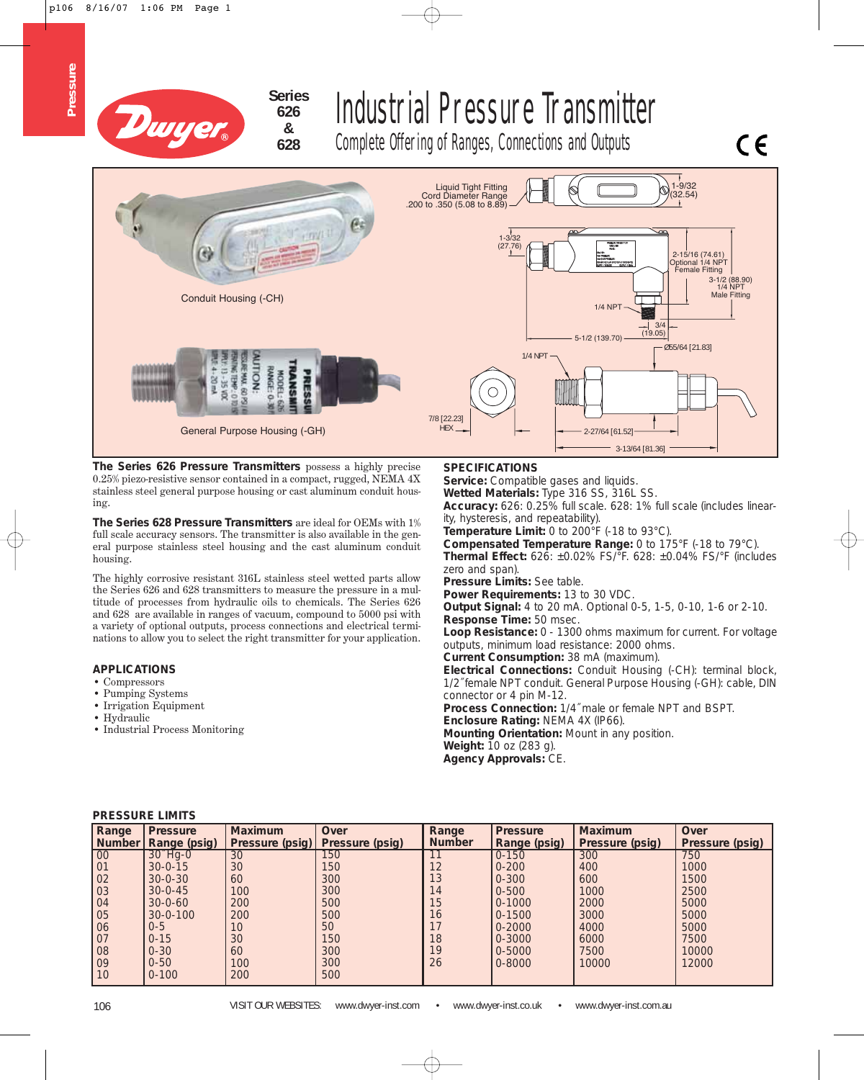

**626 & 628**

**Pressure**

Pressure

# Industrial Pressure Transmitter

Complete Offering of Ranges, Connections and Outputs



**The Series 626 Pressure Transmitters** possess a highly precise 0.25% piezo-resistive sensor contained in a compact, rugged, NEMA 4X stainless steel general purpose housing or cast aluminum conduit housing.

**The Series 628 Pressure Transmitters** are ideal for OEMs with 1% full scale accuracy sensors. The transmitter is also available in the general purpose stainless steel housing and the cast aluminum conduit housing.

The highly corrosive resistant 316L stainless steel wetted parts allow the Series 626 and 628 transmitters to measure the pressure in a multitude of processes from hydraulic oils to chemicals. The Series 626 and 628 are available in ranges of vacuum, compound to 5000 psi with a variety of optional outputs, process connections and electrical terminations to allow you to select the right transmitter for your application.

#### **APPLICATIONS**

- Compressors
- Pumping Systems
- Irrigation Equipment
- Hydraulic
- Industrial Process Monitoring

#### **SPECIFICATIONS**

**Service:** Compatible gases and liquids.

**Wetted Materials:** Type 316 SS, 316L SS.

**Accuracy:** 626: 0.25% full scale. 628: 1% full scale (includes linearity, hysteresis, and repeatability).

 $C \in$ 

**Temperature Limit:** 0 to 200°F (-18 to 93°C).

**Compensated Temperature Range:** 0 to 175°F (-18 to 79°C). **Thermal Effect:** 626: ±0.02% FS/°F. 628: ±0.04% FS/°F (includes zero and span).

**Pressure Limits:** See table.

**Power Requirements:** 13 to 30 VDC.

**Output Signal:** 4 to 20 mA. Optional 0-5, 1-5, 0-10, 1-6 or 2-10. **Response Time:** 50 msec.

**Loop Resistance:** 0 - 1300 ohms maximum for current. For voltage outputs, minimum load resistance: 2000 ohms.

**Current Consumption:** 38 mA (maximum).

**Electrical Connections:** Conduit Housing (-CH): terminal block, 1/2˝ female NPT conduit. General Purpose Housing (-GH): cable, DIN connector or 4 pin M-12.

**Process Connection:** 1/4˝ male or female NPT and BSPT.

**Enclosure Rating:** NEMA 4X (IP66).

**Mounting Orientation:** Mount in any position.

**Weight:** 10 oz (283 g).

**Agency Approvals:** CE.

| Range            | <b>Pressure</b><br>  Number   Range (psig) | <b>Maximum</b><br>Pressure (psig) | Over<br>Pressure (psig) | Range<br><b>Number</b> | <b>Pressure</b><br>Range (psig) | <b>Maximum</b><br>Pressure (psig) | Over<br>Pressure (psig) |
|------------------|--------------------------------------------|-----------------------------------|-------------------------|------------------------|---------------------------------|-----------------------------------|-------------------------|
| $\overline{00}$  | $30^{\circ}$ Hg-0                          | 30                                | 150                     |                        | $0 - 150$                       | 300                               | 750                     |
| $\overline{)01}$ | $30 - 0 - 15$                              | 30                                | 150                     | 12                     | $0 - 200$                       | 400                               | 1000                    |
| 02               | $30 - 0 - 30$                              | 60                                | 300                     | 13                     | $0 - 300$                       | 600                               | 1500                    |
| $\overline{)03}$ | $30 - 0 - 45$                              | 100                               | 300                     | 14                     | $0 - 500$                       | 1000                              | 2500                    |
| $\overline{)04}$ | $30 - 0 - 60$                              | 200                               | 500                     | 15                     | $0 - 1000$                      | 2000                              | 5000                    |
| $\overline{05}$  | $30 - 0 - 100$                             | 200                               | 500                     | 16                     | $0 - 1500$                      | 3000                              | 5000                    |
| 06               | $0 - 5$                                    | 10                                | 50                      |                        | $0 - 2000$                      | 4000                              | 5000                    |
| 07               | $0 - 15$                                   | 30                                | 150                     | 18                     | $0 - 3000$                      | 6000                              | 7500                    |
| 08               | $0 - 30$                                   | 60                                | 300                     | 19                     | 0-5000                          | 7500                              | 10000                   |
| $\sqrt{09}$      | $0 - 50$                                   | 100                               | 300                     | 26                     | $0 - 8000$                      | 10000                             | 12000                   |
| 10               | $0 - 100$                                  | 200                               | 500                     |                        |                                 |                                   |                         |

#### **PRESSURE LIMITS**